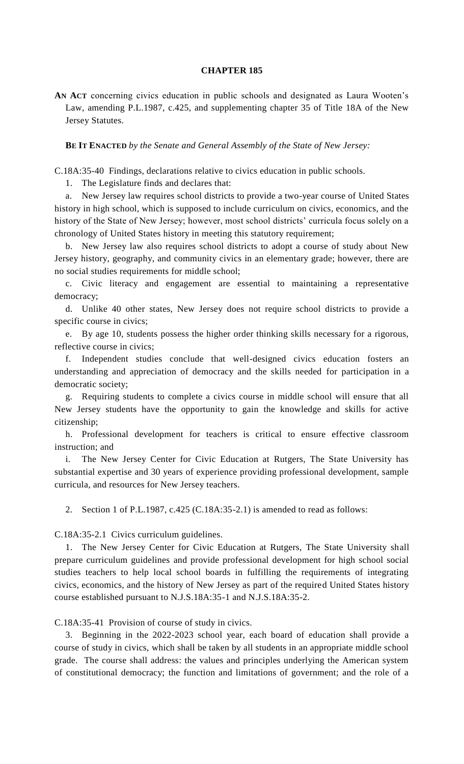## **CHAPTER 185**

**AN ACT** concerning civics education in public schools and designated as Laura Wooten's Law, amending P.L.1987, c.425, and supplementing chapter 35 of Title 18A of the New Jersey Statutes.

**BE IT ENACTED** *by the Senate and General Assembly of the State of New Jersey:*

C.18A:35-40 Findings, declarations relative to civics education in public schools.

1. The Legislature finds and declares that:

a. New Jersey law requires school districts to provide a two-year course of United States history in high school, which is supposed to include curriculum on civics, economics, and the history of the State of New Jersey; however, most school districts' curricula focus solely on a chronology of United States history in meeting this statutory requirement;

b. New Jersey law also requires school districts to adopt a course of study about New Jersey history, geography, and community civics in an elementary grade; however, there are no social studies requirements for middle school;

c. Civic literacy and engagement are essential to maintaining a representative democracy;

d. Unlike 40 other states, New Jersey does not require school districts to provide a specific course in civics;

e. By age 10, students possess the higher order thinking skills necessary for a rigorous, reflective course in civics;

Independent studies conclude that well-designed civics education fosters an understanding and appreciation of democracy and the skills needed for participation in a democratic society;

g. Requiring students to complete a civics course in middle school will ensure that all New Jersey students have the opportunity to gain the knowledge and skills for active citizenship;

h. Professional development for teachers is critical to ensure effective classroom instruction; and

i. The New Jersey Center for Civic Education at Rutgers, The State University has substantial expertise and 30 years of experience providing professional development, sample curricula, and resources for New Jersey teachers.

2. Section 1 of P.L.1987, c.425 (C.18A:35-2.1) is amended to read as follows:

C.18A:35-2.1 Civics curriculum guidelines.

1. The New Jersey Center for Civic Education at Rutgers, The State University shall prepare curriculum guidelines and provide professional development for high school social studies teachers to help local school boards in fulfilling the requirements of integrating civics, economics, and the history of New Jersey as part of the required United States history course established pursuant to N.J.S.18A:35-1 and N.J.S.18A:35-2.

C.18A:35-41 Provision of course of study in civics.

3. Beginning in the 2022-2023 school year, each board of education shall provide a course of study in civics, which shall be taken by all students in an appropriate middle school grade. The course shall address: the values and principles underlying the American system of constitutional democracy; the function and limitations of government; and the role of a